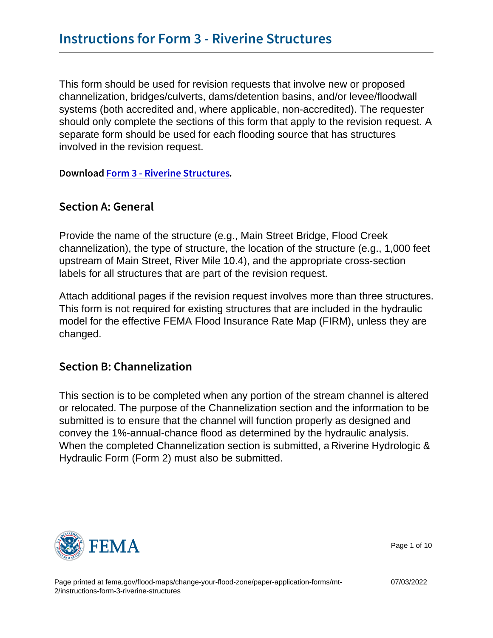This form should be used for revision requests that involve new or proposed channelization, bridges/culverts, dams/detention basins, and/or levee/floodwall systems (both accredited and, where applicable, non-accredited). The requester should only complete the sections of this form that apply to the revision request. A separate form should be used for each flooding source that has structures involved in the revision request.

DownloFacorm 3 - Riverine Structures

#### Section A: General

Provide the name of the structure (e.g., Main Street Bridge, Flood Creek channelization), the type of structure, the location of the structure (e.g., 1,000 feet upstream of Main Street, River Mile 10.4), and the appropriate cross-section labels for all structures that are part of the revision request.

Attach additional pages if the revision request involves more than three structures. This form is not required for existing structures that are included in the hydraulic model for the effective FEMA Flood Insurance Rate Map (FIRM), unless they are changed.

### Section B: Channelization

This section is to be completed when any portion of the stream channel is altered or relocated. The purpose of the Channelization section and the information to be submitted is to ensure that the channel will function properly as designed and convey the 1%-annual-chance flood as determined by the hydraulic analysis. When the completed Channelization section is submitted, a Riverine Hydrologic & Hydraulic Form (Form 2) must also be submitted.



Page 1 of 10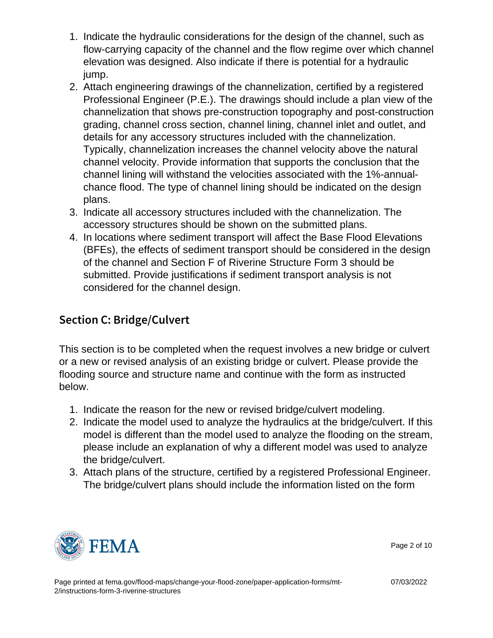- 1. Indicate the hydraulic considerations for the design of the channel, such as flow-carrying capacity of the channel and the flow regime over which channel elevation was designed. Also indicate if there is potential for a hydraulic jump.
- 2. Attach engineering drawings of the channelization, certified by a registered Professional Engineer (P.E.). The drawings should include a plan view of the channelization that shows pre-construction topography and post-construction grading, channel cross section, channel lining, channel inlet and outlet, and details for any accessory structures included with the channelization. Typically, channelization increases the channel velocity above the natural channel velocity. Provide information that supports the conclusion that the channel lining will withstand the velocities associated with the 1%-annualchance flood. The type of channel lining should be indicated on the design plans.
- 3. Indicate all accessory structures included with the channelization. The accessory structures should be shown on the submitted plans.
- 4. In locations where sediment transport will affect the Base Flood Elevations (BFEs), the effects of sediment transport should be considered in the design of the channel and Section F of Riverine Structure Form 3 should be submitted. Provide justifications if sediment transport analysis is not considered for the channel design.

# Section C: Bridge/Culvert

This section is to be completed when the request involves a new bridge or culvert or a new or revised analysis of an existing bridge or culvert. Please provide the flooding source and structure name and continue with the form as instructed below.

- 1. Indicate the reason for the new or revised bridge/culvert modeling.
- 2. Indicate the model used to analyze the hydraulics at the bridge/culvert. If this model is different than the model used to analyze the flooding on the stream, please include an explanation of why a different model was used to analyze the bridge/culvert.
- 3. Attach plans of the structure, certified by a registered Professional Engineer. The bridge/culvert plans should include the information listed on the form



Page 2 of 10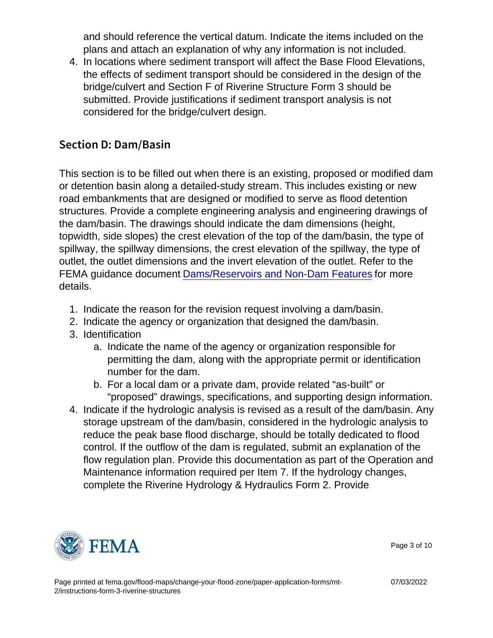and should reference the vertical datum. Indicate the items included on the plans and attach an explanation of why any information is not included.

4. In locations where sediment transport will affect the Base Flood Elevations, the effects of sediment transport should be considered in the design of the bridge/culvert and Section F of Riverine Structure Form 3 should be submitted. Provide justifications if sediment transport analysis is not considered for the bridge/culvert design.

#### Section D: Dam/Basin

This section is to be filled out when there is an existing, proposed or modified dam or detention basin along a detailed-study stream. This includes existing or new road embankments that are designed or modified to serve as flood detention structures. Provide a complete engineering analysis and engineering drawings of the dam/basin. The drawings should indicate the dam dimensions (height, topwidth, side slopes) the crest elevation of the top of the dam/basin, the type of spillway, the spillway dimensions, the crest elevation of the spillway, the type of outlet, the outlet dimensions and the invert elevation of the outlet. Refer to the FEMA guidance document [Dams/Reservoirs and Non-Dam Features](https://www.fema.gov/sites/default/files/2020-02/Dams_Reservoirs_and_Non_Dam_Features_Guidance_Nov_2019.pdf) for more details.

- 1. Indicate the reason for the revision request involving a dam/basin.
- 2. Indicate the agency or organization that designed the dam/basin.
- 3. Identification
	- a. Indicate the name of the agency or organization responsible for permitting the dam, along with the appropriate permit or identification number for the dam.
	- b. For a local dam or a private dam, provide related "as-built" or "proposed" drawings, specifications, and supporting design information.
- 4. Indicate if the hydrologic analysis is revised as a result of the dam/basin. Any storage upstream of the dam/basin, considered in the hydrologic analysis to reduce the peak base flood discharge, should be totally dedicated to flood control. If the outflow of the dam is regulated, submit an explanation of the flow regulation plan. Provide this documentation as part of the Operation and Maintenance information required per Item 7. If the hydrology changes, complete the Riverine Hydrology & Hydraulics Form 2. Provide



Page 3 of 10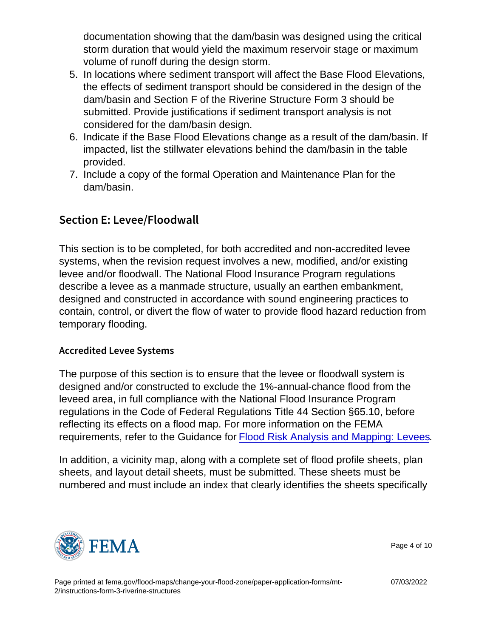documentation showing that the dam/basin was designed using the critical storm duration that would yield the maximum reservoir stage or maximum volume of runoff during the design storm.

- 5. In locations where sediment transport will affect the Base Flood Elevations, the effects of sediment transport should be considered in the design of the dam/basin and Section F of the Riverine Structure Form 3 should be submitted. Provide justifications if sediment transport analysis is not considered for the dam/basin design.
- 6. Indicate if the Base Flood Elevations change as a result of the dam/basin. If impacted, list the stillwater elevations behind the dam/basin in the table provided.
- 7. Include a copy of the formal Operation and Maintenance Plan for the dam/basin.

### Section E: Levee/Floodwall

This section is to be completed, for both accredited and non-accredited levee systems, when the revision request involves a new, modified, and/or existing levee and/or floodwall. The National Flood Insurance Program regulations describe a levee as a manmade structure, usually an earthen embankment, designed and constructed in accordance with sound engineering practices to contain, control, or divert the flow of water to provide flood hazard reduction from temporary flooding.

#### Accredited Levee Systems

The purpose of this section is to ensure that the levee or floodwall system is designed and/or constructed to exclude the 1%-annual-chance flood from the leveed area, in full compliance with the National Flood Insurance Program regulations in the Code of Federal Regulations Title 44 Section §65.10, before reflecting its effects on a flood map. For more information on the FEMA requirements, refer to the Guidance for [Flood Risk Analysis and Mapping: Levees](https://www.fema.gov/sites/default/files/documents/fema_levee-guidance.pdf).

In addition, a vicinity map, along with a complete set of flood profile sheets, plan sheets, and layout detail sheets, must be submitted. These sheets must be numbered and must include an index that clearly identifies the sheets specifically



Page 4 of 10

07/03/2022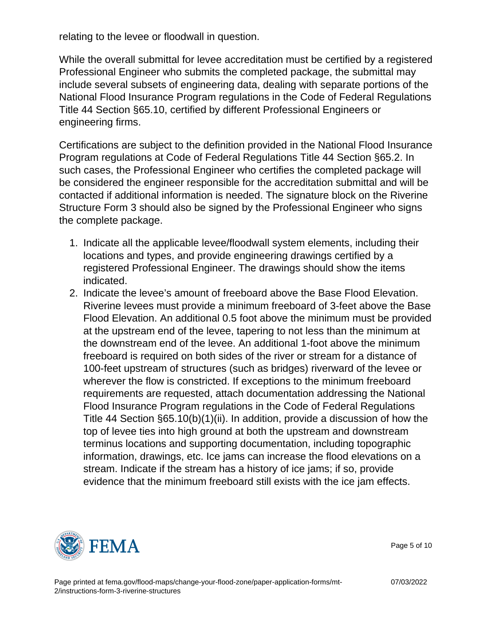relating to the levee or floodwall in question.

While the overall submittal for levee accreditation must be certified by a registered Professional Engineer who submits the completed package, the submittal may include several subsets of engineering data, dealing with separate portions of the National Flood Insurance Program regulations in the Code of Federal Regulations Title 44 Section §65.10, certified by different Professional Engineers or engineering firms.

Certifications are subject to the definition provided in the National Flood Insurance Program regulations at Code of Federal Regulations Title 44 Section §65.2. In such cases, the Professional Engineer who certifies the completed package will be considered the engineer responsible for the accreditation submittal and will be contacted if additional information is needed. The signature block on the Riverine Structure Form 3 should also be signed by the Professional Engineer who signs the complete package.

- 1. Indicate all the applicable levee/floodwall system elements, including their locations and types, and provide engineering drawings certified by a registered Professional Engineer. The drawings should show the items indicated.
- 2. Indicate the levee's amount of freeboard above the Base Flood Elevation. Riverine levees must provide a minimum freeboard of 3-feet above the Base Flood Elevation. An additional 0.5 foot above the minimum must be provided at the upstream end of the levee, tapering to not less than the minimum at the downstream end of the levee. An additional 1-foot above the minimum freeboard is required on both sides of the river or stream for a distance of 100-feet upstream of structures (such as bridges) riverward of the levee or wherever the flow is constricted. If exceptions to the minimum freeboard requirements are requested, attach documentation addressing the National Flood Insurance Program regulations in the Code of Federal Regulations Title 44 Section §65.10(b)(1)(ii). In addition, provide a discussion of how the top of levee ties into high ground at both the upstream and downstream terminus locations and supporting documentation, including topographic information, drawings, etc. Ice jams can increase the flood elevations on a stream. Indicate if the stream has a history of ice jams; if so, provide evidence that the minimum freeboard still exists with the ice jam effects.



Page 5 of 10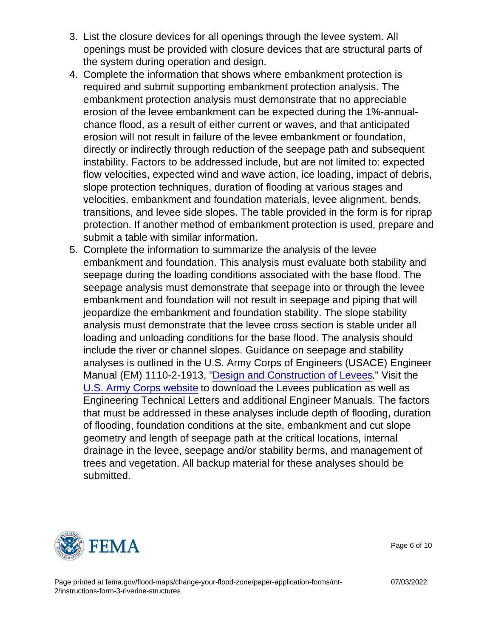- 3. List the closure devices for all openings through the levee system. All openings must be provided with closure devices that are structural parts of the system during operation and design.
- 4. Complete the information that shows where embankment protection is required and submit supporting embankment protection analysis. The embankment protection analysis must demonstrate that no appreciable erosion of the levee embankment can be expected during the 1%-annualchance flood, as a result of either current or waves, and that anticipated erosion will not result in failure of the levee embankment or foundation, directly or indirectly through reduction of the seepage path and subsequent instability. Factors to be addressed include, but are not limited to: expected flow velocities, expected wind and wave action, ice loading, impact of debris, slope protection techniques, duration of flooding at various stages and velocities, embankment and foundation materials, levee alignment, bends, transitions, and levee side slopes. The table provided in the form is for riprap protection. If another method of embankment protection is used, prepare and submit a table with similar information.
- 5. Complete the information to summarize the analysis of the levee embankment and foundation. This analysis must evaluate both stability and seepage during the loading conditions associated with the base flood. The seepage analysis must demonstrate that seepage into or through the levee embankment and foundation will not result in seepage and piping that will jeopardize the embankment and foundation stability. The slope stability analysis must demonstrate that the levee cross section is stable under all loading and unloading conditions for the base flood. The analysis should include the river or channel slopes. Guidance on seepage and stability analyses is outlined in the U.S. Army Corps of Engineers (USACE) Engineer Manual (EM) 1110-2-1913, ["Design and Construction of Levees](http://www.publications.usace.army.mil/Portals/76/Publications/EngineerManuals/EM_1110-2-1913.pdf)." Visit the [U.S. Army Corps website](http://www.publications.usace.army.mil) to download the Levees publication as well as Engineering Technical Letters and additional Engineer Manuals. The factors that must be addressed in these analyses include depth of flooding, duration of flooding, foundation conditions at the site, embankment and cut slope geometry and length of seepage path at the critical locations, internal drainage in the levee, seepage and/or stability berms, and management of trees and vegetation. All backup material for these analyses should be submitted.



Page 6 of 10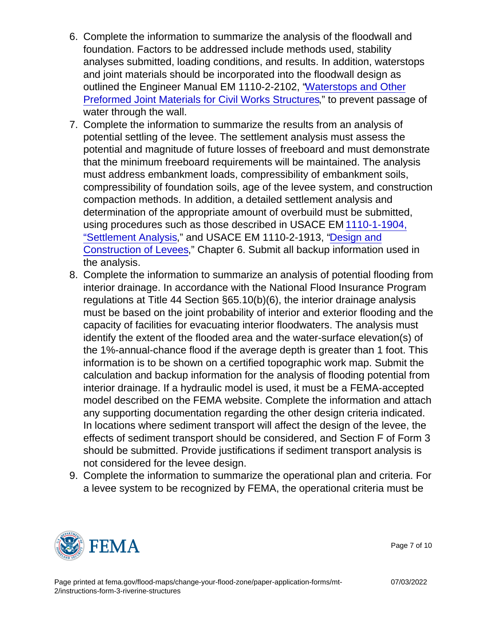- 6. Complete the information to summarize the analysis of the floodwall and foundation. Factors to be addressed include methods used, stability analyses submitted, loading conditions, and results. In addition, waterstops and joint materials should be incorporated into the floodwall design as outlined the Engineer Manual EM 1110-2-2102, ["Waterstops and Other](http://www.publications.usace.army.mil/Portals/76/Publications/EngineerManuals/EM_1110-2-2102.pdf) [Preformed Joint Materials for Civil Works Structures](http://www.publications.usace.army.mil/Portals/76/Publications/EngineerManuals/EM_1110-2-2102.pdf)," to prevent passage of water through the wall.
- 7. Complete the information to summarize the results from an analysis of potential settling of the levee. The settlement analysis must assess the potential and magnitude of future losses of freeboard and must demonstrate that the minimum freeboard requirements will be maintained. The analysis must address embankment loads, compressibility of embankment soils, compressibility of foundation soils, age of the levee system, and construction compaction methods. In addition, a detailed settlement analysis and determination of the appropriate amount of overbuild must be submitted, using procedures such as those described in USACE EM [1110-1-1904,](https://www.publications.usace.army.mil/Portals/76/Publications/EngineerManuals/EM_1110-1-1904.pdf) ["Settlement Analysis,](https://www.publications.usace.army.mil/Portals/76/Publications/EngineerManuals/EM_1110-1-1904.pdf)" and USACE EM 1110-2-1913, ["Design and](http://www.publications.usace.army.mil/Portals/76/Publications/EngineerManuals/EM_1110-2-1913.pdf) [Construction of Levees,](http://www.publications.usace.army.mil/Portals/76/Publications/EngineerManuals/EM_1110-2-1913.pdf)" Chapter 6. Submit all backup information used in the analysis.
- 8. Complete the information to summarize an analysis of potential flooding from interior drainage. In accordance with the National Flood Insurance Program regulations at Title 44 Section §65.10(b)(6), the interior drainage analysis must be based on the joint probability of interior and exterior flooding and the capacity of facilities for evacuating interior floodwaters. The analysis must identify the extent of the flooded area and the water-surface elevation(s) of the 1%-annual-chance flood if the average depth is greater than 1 foot. This information is to be shown on a certified topographic work map. Submit the calculation and backup information for the analysis of flooding potential from interior drainage. If a hydraulic model is used, it must be a FEMA-accepted model described on the FEMA website. Complete the information and attach any supporting documentation regarding the other design criteria indicated. In locations where sediment transport will affect the design of the levee, the effects of sediment transport should be considered, and Section F of Form 3 should be submitted. Provide justifications if sediment transport analysis is not considered for the levee design.
- 9. Complete the information to summarize the operational plan and criteria. For a levee system to be recognized by FEMA, the operational criteria must be



Page 7 of 10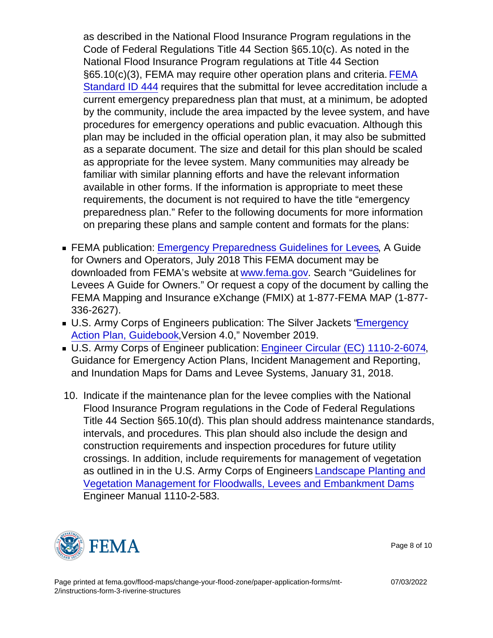as described in the National Flood Insurance Program regulations in the Code of Federal Regulations Title 44 Section §65.10(c). As noted in the National Flood Insurance Program regulations at Title 44 Section §65.10(c)(3), [FEMA](https://www.fema.gov/flood-maps/guidance-reports/guidelines-standards) may require other operation plans and criteria. FEMA [Standard ID 444](https://www.fema.gov/flood-maps/guidance-reports/guidelines-standards) requires that the submittal for levee accreditation include a current emergency preparedness plan that must, at a minimum, be adopted by the community, include the area impacted by the levee system, and have procedures for emergency operations and public evacuation. Although this plan may be included in the official operation plan, it may also be submitted as a separate document. The size and detail for this plan should be scaled as appropriate for the levee system. Many communities may already be familiar with similar planning efforts and have the relevant information available in other forms. If the information is appropriate to meet these requirements, the document is not required to have the title "emergency preparedness plan." Refer to the following documents for more information on preparing these plans and sample content and formats for the plans:

- FEMA publication: [Emergency Preparedness Guidelines for Levees,](https://damsafety.org/content/emergency-preparedness-guidelines-levees-guide-owners-and-operators-january-2018) A Guide for Owners and Operators, July 2018 This FEMA document may be downloaded from FEMA's website at [www.fema.gov.](http://www.fema.gov) Search "Guidelines for Levees A Guide for Owners." Or request a copy of the document by calling the FEMA Mapping and Insurance eXchange (FMIX) at 1-877-FEMA MAP (1-877- 336-2627).
- U.S. Army Corps of Engineers publication: The Silver Jackets ["Emergency](https://www.mvp.usace.army.mil/Portals/57/docs/Operations Center/EAP_Combined_4_20Nov19w_cover.pdf) [Action Plan, Guidebook,](https://www.mvp.usace.army.mil/Portals/57/docs/Operations Center/EAP_Combined_4_20Nov19w_cover.pdf)Version 4.0," November 2019.
- U.S. Army Corps of Engineer publication: [Engineer Circular \(EC\) 1110-2-6074,](https://www.publications.usace.army.mil/Portals/76/Publications/EngineerCirculars/EC_1110-2-6074.pdf?ver=2018-01-22-100438-250) Guidance for Emergency Action Plans, Incident Management and Reporting, and Inundation Maps for Dams and Levee Systems, January 31, 2018.
- 10. Indicate if the maintenance plan for the levee complies with the National Flood Insurance Program regulations in the Code of Federal Regulations Title 44 Section §65.10(d). This plan should address maintenance standards, intervals, and procedures. This plan should also include the design and construction requirements and inspection procedures for future utility crossings. In addition, include requirements for management of vegetation as outlined in in the U.S. Army Corps of Engineers [Landscape Planting and](https://www.publications.usace.army.mil/Portals/76/Publications/EngineerTechnicalLetters/ETL_1110-2-583.pdf) [Vegetation Management for Floodwalls, Levees and Embankment Dams](https://www.publications.usace.army.mil/Portals/76/Publications/EngineerTechnicalLetters/ETL_1110-2-583.pdf) Engineer Manual 1110-2-583.



Page 8 of 10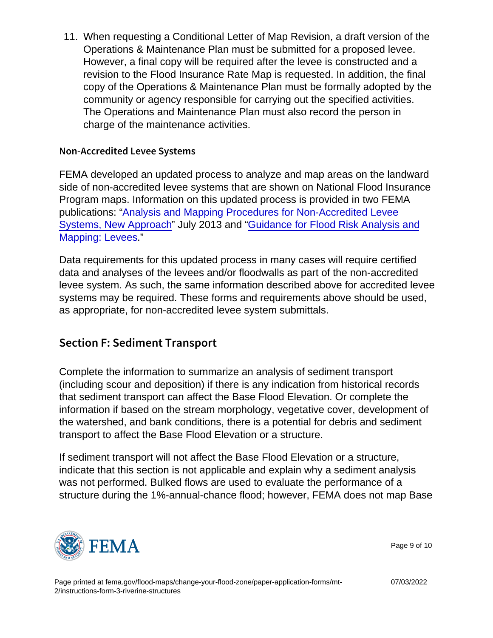11. When requesting a Conditional Letter of Map Revision, a draft version of the Operations & Maintenance Plan must be submitted for a proposed levee. However, a final copy will be required after the levee is constructed and a revision to the Flood Insurance Rate Map is requested. In addition, the final copy of the Operations & Maintenance Plan must be formally adopted by the community or agency responsible for carrying out the specified activities. The Operations and Maintenance Plan must also record the person in charge of the maintenance activities.

#### Non-Accredited Levee Systems

FEMA developed an updated process to analyze and map areas on the landward side of non-accredited levee systems that are shown on National Flood Insurance Program maps. Information on this updated process is provided in two FEMA publications: ["Analysis and Mapping Procedures for Non-Accredited Levee](https://www.hsdl.org/?abstract&did=762216 ) [Systems, New Approach](https://www.hsdl.org/?abstract&did=762216 )" July 2013 and ["Guidance for Flood Risk Analysis and](https://www.fema.gov/media-collection/guidance-femas-risk-mapping-assessment-and-planning) [Mapping: Levees.](https://www.fema.gov/media-collection/guidance-femas-risk-mapping-assessment-and-planning)"

Data requirements for this updated process in many cases will require certified data and analyses of the levees and/or floodwalls as part of the non-accredited levee system. As such, the same information described above for accredited levee systems may be required. These forms and requirements above should be used, as appropriate, for non-accredited levee system submittals.

## Section F: Sediment Transport

Complete the information to summarize an analysis of sediment transport (including scour and deposition) if there is any indication from historical records that sediment transport can affect the Base Flood Elevation. Or complete the information if based on the stream morphology, vegetative cover, development of the watershed, and bank conditions, there is a potential for debris and sediment transport to affect the Base Flood Elevation or a structure.

If sediment transport will not affect the Base Flood Elevation or a structure, indicate that this section is not applicable and explain why a sediment analysis was not performed. Bulked flows are used to evaluate the performance of a structure during the 1%-annual-chance flood; however, FEMA does not map Base



Page 9 of 10

07/03/2022